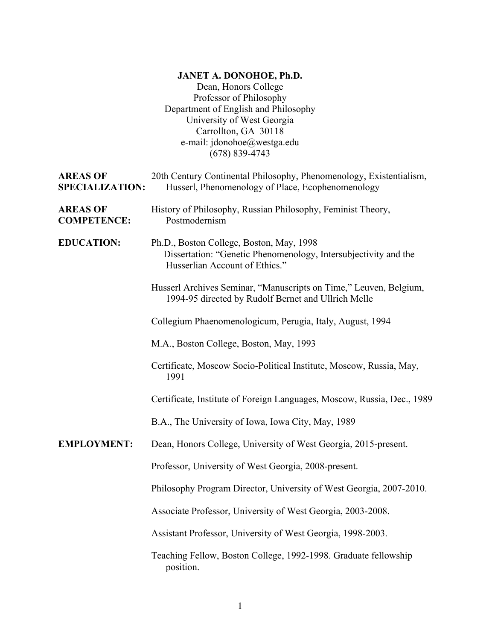## **JANET A. DONOHOE, Ph.D.**

Dean, Honors College Professor of Philosophy Department of English and Philosophy University of West Georgia Carrollton, GA 30118 e-mail: jdonohoe@westga.edu (678) 839-4743

| <b>AREAS OF</b><br><b>SPECIALIZATION:</b> | 20th Century Continental Philosophy, Phenomenology, Existentialism,<br>Husserl, Phenomenology of Place, Ecophenomenology                      |
|-------------------------------------------|-----------------------------------------------------------------------------------------------------------------------------------------------|
| <b>AREAS OF</b><br><b>COMPETENCE:</b>     | History of Philosophy, Russian Philosophy, Feminist Theory,<br>Postmodernism                                                                  |
| <b>EDUCATION:</b>                         | Ph.D., Boston College, Boston, May, 1998<br>Dissertation: "Genetic Phenomenology, Intersubjectivity and the<br>Husserlian Account of Ethics." |
|                                           | Husserl Archives Seminar, "Manuscripts on Time," Leuven, Belgium,<br>1994-95 directed by Rudolf Bernet and Ullrich Melle                      |
|                                           | Collegium Phaenomenologicum, Perugia, Italy, August, 1994                                                                                     |
|                                           | M.A., Boston College, Boston, May, 1993                                                                                                       |
|                                           | Certificate, Moscow Socio-Political Institute, Moscow, Russia, May,<br>1991                                                                   |
|                                           | Certificate, Institute of Foreign Languages, Moscow, Russia, Dec., 1989                                                                       |
|                                           | B.A., The University of Iowa, Iowa City, May, 1989                                                                                            |
| <b>EMPLOYMENT:</b>                        | Dean, Honors College, University of West Georgia, 2015-present.                                                                               |
|                                           | Professor, University of West Georgia, 2008-present.                                                                                          |
|                                           | Philosophy Program Director, University of West Georgia, 2007-2010.                                                                           |
|                                           | Associate Professor, University of West Georgia, 2003-2008.                                                                                   |
|                                           | Assistant Professor, University of West Georgia, 1998-2003.                                                                                   |
|                                           | Teaching Fellow, Boston College, 1992-1998. Graduate fellowship<br>position.                                                                  |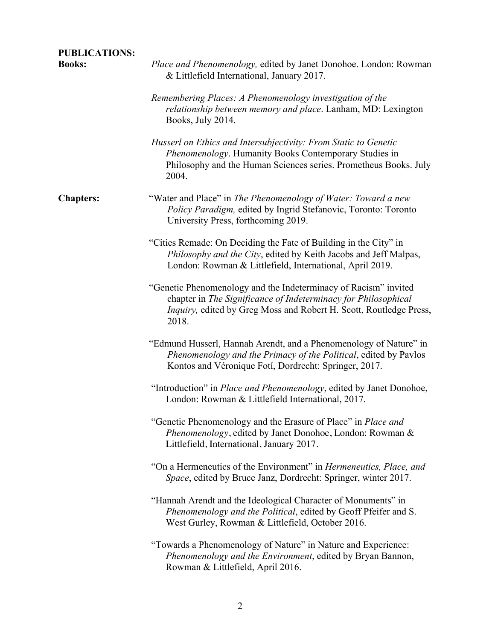| <b>PUBLICATIONS:</b><br><b>Books:</b> | Place and Phenomenology, edited by Janet Donohoe. London: Rowman<br>& Littlefield International, January 2017.                                                                                                   |
|---------------------------------------|------------------------------------------------------------------------------------------------------------------------------------------------------------------------------------------------------------------|
|                                       | Remembering Places: A Phenomenology investigation of the<br><i>relationship between memory and place.</i> Lanham, MD: Lexington<br>Books, July 2014.                                                             |
|                                       | Husserl on Ethics and Intersubjectivity: From Static to Genetic<br>Phenomenology. Humanity Books Contemporary Studies in<br>Philosophy and the Human Sciences series. Prometheus Books. July<br>2004.            |
| <b>Chapters:</b>                      | "Water and Place" in The Phenomenology of Water: Toward a new<br>Policy Paradigm, edited by Ingrid Stefanovic, Toronto: Toronto<br>University Press, forthcoming 2019.                                           |
|                                       | "Cities Remade: On Deciding the Fate of Building in the City" in<br>Philosophy and the City, edited by Keith Jacobs and Jeff Malpas,<br>London: Rowman & Littlefield, International, April 2019.                 |
|                                       | "Genetic Phenomenology and the Indeterminacy of Racism" invited<br>chapter in The Significance of Indeterminacy for Philosophical<br>Inquiry, edited by Greg Moss and Robert H. Scott, Routledge Press,<br>2018. |
|                                       | "Edmund Husserl, Hannah Arendt, and a Phenomenology of Nature" in<br>Phenomenology and the Primacy of the Political, edited by Pavlos<br>Kontos and Véronique Fotí, Dordrecht: Springer, 2017.                   |
|                                       | "Introduction" in Place and Phenomenology, edited by Janet Donohoe,<br>London: Rowman & Littlefield International, 2017.                                                                                         |
|                                       | "Genetic Phenomenology and the Erasure of Place" in <i>Place and</i><br>Phenomenology, edited by Janet Donohoe, London: Rowman &<br>Littlefield, International, January 2017.                                    |
|                                       | "On a Hermeneutics of the Environment" in <i>Hermeneutics</i> , <i>Place</i> , and<br>Space, edited by Bruce Janz, Dordrecht: Springer, winter 2017.                                                             |
|                                       | "Hannah Arendt and the Ideological Character of Monuments" in<br>Phenomenology and the Political, edited by Geoff Pfeifer and S.<br>West Gurley, Rowman & Littlefield, October 2016.                             |
|                                       | "Towards a Phenomenology of Nature" in Nature and Experience:<br>Phenomenology and the Environment, edited by Bryan Bannon,<br>Rowman & Littlefield, April 2016.                                                 |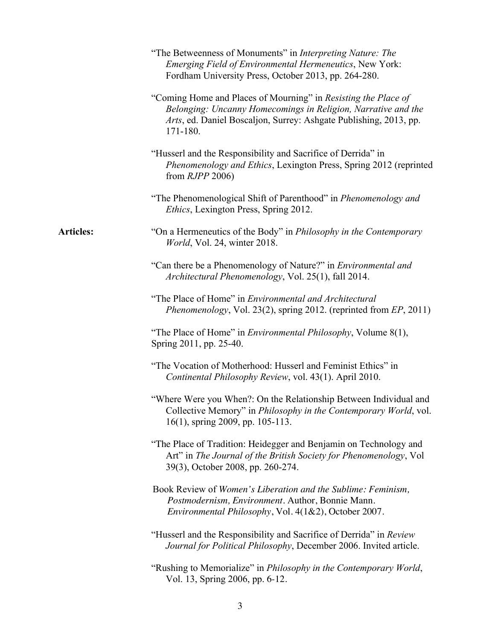|                  | "The Betweenness of Monuments" in Interpreting Nature: The<br><b>Emerging Field of Environmental Hermeneutics, New York:</b><br>Fordham University Press, October 2013, pp. 264-280.                                                                                                                       |
|------------------|------------------------------------------------------------------------------------------------------------------------------------------------------------------------------------------------------------------------------------------------------------------------------------------------------------|
|                  | "Coming Home and Places of Mourning" in Resisting the Place of<br>Belonging: Uncanny Homecomings in Religion, Narrative and the<br>Arts, ed. Daniel Boscaljon, Surrey: Ashgate Publishing, 2013, pp.<br>171-180.                                                                                           |
|                  | "Husserl and the Responsibility and Sacrifice of Derrida" in<br><i>Phenomenology and Ethics, Lexington Press, Spring 2012 (reprinted phenomenology and Ethics, Lexington Press, Spring 2012 (reprinted phenomenology and Ethics, Lexington Press, Spring 2012 (reprinted members)</i><br>from $RJPP$ 2006) |
|                  | "The Phenomenological Shift of Parenthood" in Phenomenology and<br><i>Ethics</i> , Lexington Press, Spring 2012.                                                                                                                                                                                           |
| <b>Articles:</b> | "On a Hermeneutics of the Body" in <i>Philosophy in the Contemporary</i><br>World, Vol. 24, winter 2018.                                                                                                                                                                                                   |
|                  | "Can there be a Phenomenology of Nature?" in <i>Environmental and</i><br>Architectural Phenomenology, Vol. 25(1), fall 2014.                                                                                                                                                                               |
|                  | "The Place of Home" in Environmental and Architectural<br><i>Phenomenology</i> , Vol. 23(2), spring 2012. (reprinted from EP, 2011)                                                                                                                                                                        |
|                  | "The Place of Home" in <i>Environmental Philosophy</i> , Volume 8(1),<br>Spring 2011, pp. 25-40.                                                                                                                                                                                                           |
|                  | "The Vocation of Motherhood: Husserl and Feminist Ethics" in<br>Continental Philosophy Review, vol. 43(1). April 2010.                                                                                                                                                                                     |
|                  | "Where Were you When?: On the Relationship Between Individual and<br>Collective Memory" in Philosophy in the Contemporary World, vol.<br>16(1), spring 2009, pp. 105-113.                                                                                                                                  |
|                  | "The Place of Tradition: Heidegger and Benjamin on Technology and<br>Art" in The Journal of the British Society for Phenomenology, Vol<br>39(3), October 2008, pp. 260-274.                                                                                                                                |
|                  | Book Review of Women's Liberation and the Sublime: Feminism,<br>Postmodernism, Environment. Author, Bonnie Mann.<br>Environmental Philosophy, Vol. 4(1&2), October 2007.                                                                                                                                   |
|                  | "Husserl and the Responsibility and Sacrifice of Derrida" in Review<br>Journal for Political Philosophy, December 2006. Invited article.                                                                                                                                                                   |
|                  | "Rushing to Memorialize" in Philosophy in the Contemporary World,<br>Vol. 13, Spring 2006, pp. 6-12.                                                                                                                                                                                                       |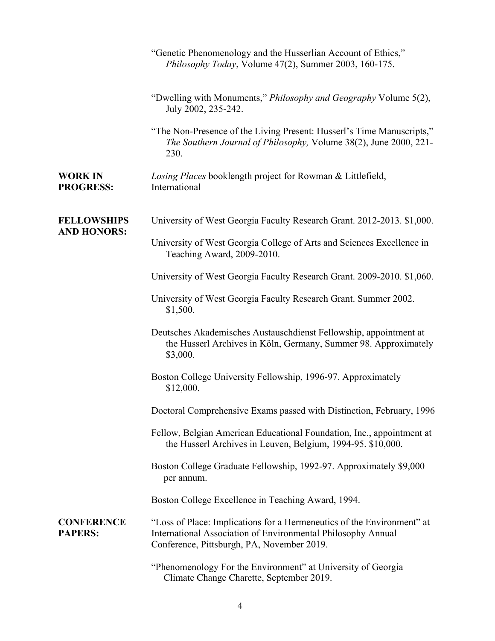|                                          | "Genetic Phenomenology and the Husserlian Account of Ethics,"<br>Philosophy Today, Volume 47(2), Summer 2003, 160-175.                                                               |
|------------------------------------------|--------------------------------------------------------------------------------------------------------------------------------------------------------------------------------------|
|                                          | "Dwelling with Monuments," Philosophy and Geography Volume 5(2),<br>July 2002, 235-242.                                                                                              |
|                                          | "The Non-Presence of the Living Present: Husserl's Time Manuscripts,"<br>The Southern Journal of Philosophy, Volume 38(2), June 2000, 221-<br>230.                                   |
| <b>WORK IN</b><br><b>PROGRESS:</b>       | Losing Places booklength project for Rowman & Littlefield,<br>International                                                                                                          |
| <b>FELLOWSHIPS</b><br><b>AND HONORS:</b> | University of West Georgia Faculty Research Grant. 2012-2013. \$1,000.                                                                                                               |
|                                          | University of West Georgia College of Arts and Sciences Excellence in<br>Teaching Award, 2009-2010.                                                                                  |
|                                          | University of West Georgia Faculty Research Grant. 2009-2010. \$1,060.                                                                                                               |
|                                          | University of West Georgia Faculty Research Grant. Summer 2002.<br>\$1,500.                                                                                                          |
|                                          | Deutsches Akademisches Austauschdienst Fellowship, appointment at<br>the Husserl Archives in Köln, Germany, Summer 98. Approximately<br>\$3,000.                                     |
|                                          | Boston College University Fellowship, 1996-97. Approximately<br>\$12,000.                                                                                                            |
|                                          | Doctoral Comprehensive Exams passed with Distinction, February, 1996                                                                                                                 |
|                                          | Fellow, Belgian American Educational Foundation, Inc., appointment at<br>the Husserl Archives in Leuven, Belgium, 1994-95. \$10,000.                                                 |
|                                          | Boston College Graduate Fellowship, 1992-97. Approximately \$9,000<br>per annum.                                                                                                     |
|                                          | Boston College Excellence in Teaching Award, 1994.                                                                                                                                   |
| <b>CONFERENCE</b><br><b>PAPERS:</b>      | "Loss of Place: Implications for a Hermeneutics of the Environment" at<br>International Association of Environmental Philosophy Annual<br>Conference, Pittsburgh, PA, November 2019. |
|                                          | "Phenomenology For the Environment" at University of Georgia<br>Climate Change Charette, September 2019.                                                                             |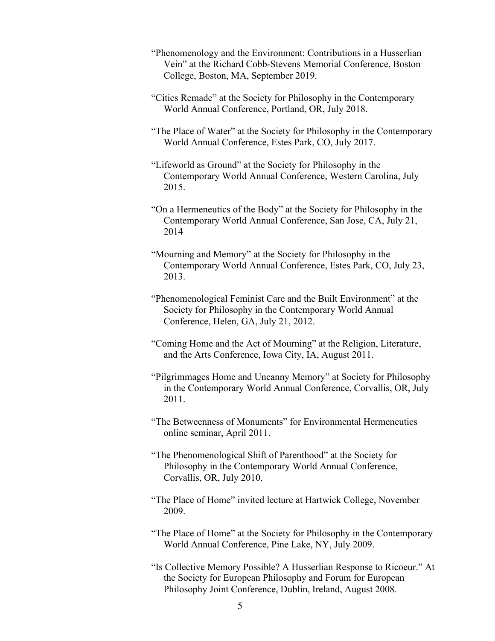- "Phenomenology and the Environment: Contributions in a Husserlian Vein" at the Richard Cobb-Stevens Memorial Conference, Boston College, Boston, MA, September 2019.
- "Cities Remade" at the Society for Philosophy in the Contemporary World Annual Conference, Portland, OR, July 2018.
- "The Place of Water" at the Society for Philosophy in the Contemporary World Annual Conference, Estes Park, CO, July 2017.
- "Lifeworld as Ground" at the Society for Philosophy in the Contemporary World Annual Conference, Western Carolina, July 2015.
- "On a Hermeneutics of the Body" at the Society for Philosophy in the Contemporary World Annual Conference, San Jose, CA, July 21, 2014
- "Mourning and Memory" at the Society for Philosophy in the Contemporary World Annual Conference, Estes Park, CO, July 23, 2013.
- "Phenomenological Feminist Care and the Built Environment" at the Society for Philosophy in the Contemporary World Annual Conference, Helen, GA, July 21, 2012.
- "Coming Home and the Act of Mourning" at the Religion, Literature, and the Arts Conference, Iowa City, IA, August 2011.
- "Pilgrimmages Home and Uncanny Memory" at Society for Philosophy in the Contemporary World Annual Conference, Corvallis, OR, July 2011.
- "The Betweenness of Monuments" for Environmental Hermeneutics online seminar, April 2011.
- "The Phenomenological Shift of Parenthood" at the Society for Philosophy in the Contemporary World Annual Conference, Corvallis, OR, July 2010.
- "The Place of Home" invited lecture at Hartwick College, November 2009.
- "The Place of Home" at the Society for Philosophy in the Contemporary World Annual Conference, Pine Lake, NY, July 2009.
- "Is Collective Memory Possible? A Husserlian Response to Ricoeur." At the Society for European Philosophy and Forum for European Philosophy Joint Conference, Dublin, Ireland, August 2008.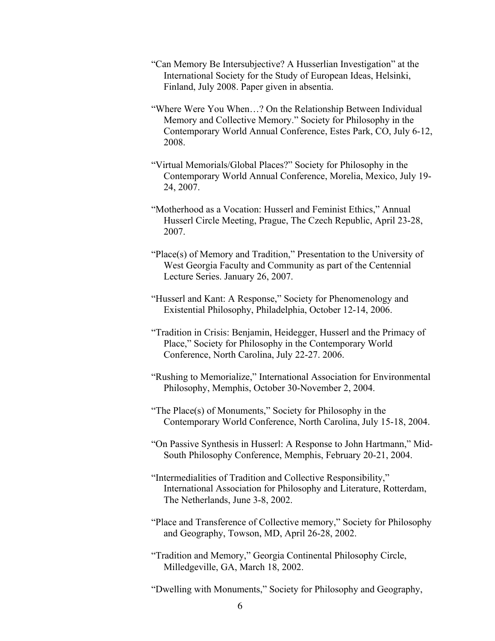- "Can Memory Be Intersubjective? A Husserlian Investigation" at the International Society for the Study of European Ideas, Helsinki, Finland, July 2008. Paper given in absentia.
- "Where Were You When…? On the Relationship Between Individual Memory and Collective Memory." Society for Philosophy in the Contemporary World Annual Conference, Estes Park, CO, July 6-12, 2008.
- "Virtual Memorials/Global Places?" Society for Philosophy in the Contemporary World Annual Conference, Morelia, Mexico, July 19- 24, 2007.
- "Motherhood as a Vocation: Husserl and Feminist Ethics," Annual Husserl Circle Meeting, Prague, The Czech Republic, April 23-28, 2007.
- "Place(s) of Memory and Tradition," Presentation to the University of West Georgia Faculty and Community as part of the Centennial Lecture Series. January 26, 2007.
- "Husserl and Kant: A Response," Society for Phenomenology and Existential Philosophy, Philadelphia, October 12-14, 2006.
- "Tradition in Crisis: Benjamin, Heidegger, Husserl and the Primacy of Place," Society for Philosophy in the Contemporary World Conference, North Carolina, July 22-27. 2006.
- "Rushing to Memorialize," International Association for Environmental Philosophy, Memphis, October 30-November 2, 2004.
- "The Place(s) of Monuments," Society for Philosophy in the Contemporary World Conference, North Carolina, July 15-18, 2004.
- "On Passive Synthesis in Husserl: A Response to John Hartmann," Mid-South Philosophy Conference, Memphis, February 20-21, 2004.
- "Intermedialities of Tradition and Collective Responsibility," International Association for Philosophy and Literature, Rotterdam, The Netherlands, June 3-8, 2002.
- "Place and Transference of Collective memory," Society for Philosophy and Geography, Towson, MD, April 26-28, 2002.
- "Tradition and Memory," Georgia Continental Philosophy Circle, Milledgeville, GA, March 18, 2002.
- "Dwelling with Monuments," Society for Philosophy and Geography,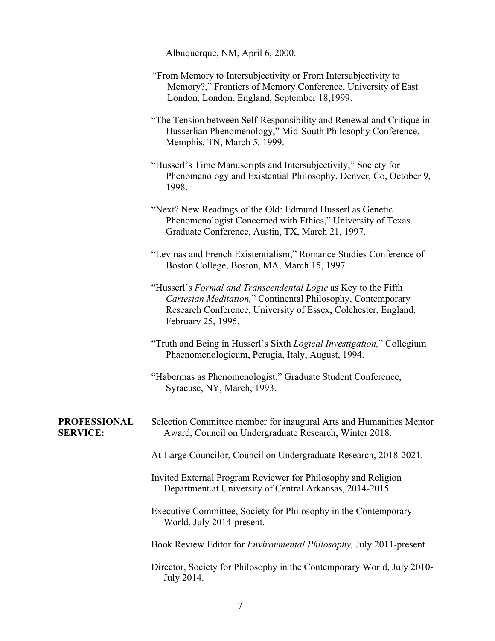Albuquerque, NM, April 6, 2000.

- "From Memory to Intersubjectivity or From Intersubjectivity to Memory?," Frontiers of Memory Conference, University of East London, London, England, September 18,1999.
- "The Tension between Self-Responsibility and Renewal and Critique in Husserlian Phenomenology," Mid-South Philosophy Conference, Memphis, TN, March 5, 1999.
- "Husserl's Time Manuscripts and Intersubjectivity," Society for Phenomenology and Existential Philosophy, Denver, Co, October 9, 1998.
- "Next? New Readings of the Old: Edmund Husserl as Genetic Phenomenologist Concerned with Ethics," University of Texas Graduate Conference, Austin, TX, March 21, 1997.
- "Levinas and French Existentialism," Romance Studies Conference of Boston College, Boston, MA, March 15, 1997.
- "Husserl's *Formal and Transcendental Logic* as Key to the Fifth *Cartesian Meditation,*" Continental Philosophy, Contemporary Research Conference, University of Essex, Colchester, England, February 25, 1995.
- "Truth and Being in Husserl's Sixth *Logical Investigation,*" Collegium Phaenomenologicum, Perugia, Italy, August, 1994.
- "Habermas as Phenomenologist," Graduate Student Conference, Syracuse, NY, March, 1993.

## **PROFESSIONAL SERVICE:**

- Selection Committee member for inaugural Arts and Humanities Mentor Award, Council on Undergraduate Research, Winter 2018.
	- At-Large Councilor, Council on Undergraduate Research, 2018-2021.
	- Invited External Program Reviewer for Philosophy and Religion Department at University of Central Arkansas, 2014-2015.
	- Executive Committee, Society for Philosophy in the Contemporary World, July 2014-present.
	- Book Review Editor for *Environmental Philosophy,* July 2011-present.
	- Director, Society for Philosophy in the Contemporary World, July 2010- July 2014.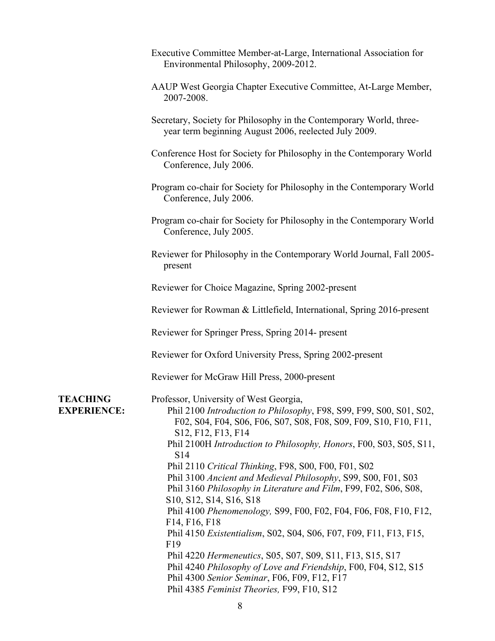- Executive Committee Member-at-Large, International Association for Environmental Philosophy, 2009-2012.
- AAUP West Georgia Chapter Executive Committee, At-Large Member, 2007-2008.
- Secretary, Society for Philosophy in the Contemporary World, threeyear term beginning August 2006, reelected July 2009.
- Conference Host for Society for Philosophy in the Contemporary World Conference, July 2006.
- Program co-chair for Society for Philosophy in the Contemporary World Conference, July 2006.
- Program co-chair for Society for Philosophy in the Contemporary World Conference, July 2005.
- Reviewer for Philosophy in the Contemporary World Journal, Fall 2005 present
- Reviewer for Choice Magazine, Spring 2002-present
- Reviewer for Rowman & Littlefield, International, Spring 2016-present

Reviewer for Springer Press, Spring 2014- present

Reviewer for Oxford University Press, Spring 2002-present

Reviewer for McGraw Hill Press, 2000-present

**TEACHING EXPERIENCE:** Professor, University of West Georgia, Phil 2100 *Introduction to Philosophy*, F98, S99, F99, S00, S01, S02, F02, S04, F04, S06, F06, S07, S08, F08, S09, F09, S10, F10, F11, S12, F12, F13, F14 Phil 2100H *Introduction to Philosophy, Honors*, F00, S03, S05, S11, S14 Phil 2110 *Critical Thinking*, F98, S00, F00, F01, S02 Phil 3100 *Ancient and Medieval Philosophy*, S99, S00, F01, S03 Phil 3160 *Philosophy in Literature and Film*, F99, F02, S06, S08, S10, S12, S14, S16, S18 Phil 4100 *Phenomenology,* S99, F00, F02, F04, F06, F08, F10, F12, F14, F16, F18 Phil 4150 *Existentialism*, S02, S04, S06, F07, F09, F11, F13, F15, F19 Phil 4220 *Hermeneutics*, S05, S07, S09, S11, F13, S15, S17 Phil 4240 *Philosophy of Love and Friendship*, F00, F04, S12, S15 Phil 4300 *Senior Seminar*, F06, F09, F12, F17 Phil 4385 *Feminist Theories,* F99, F10, S12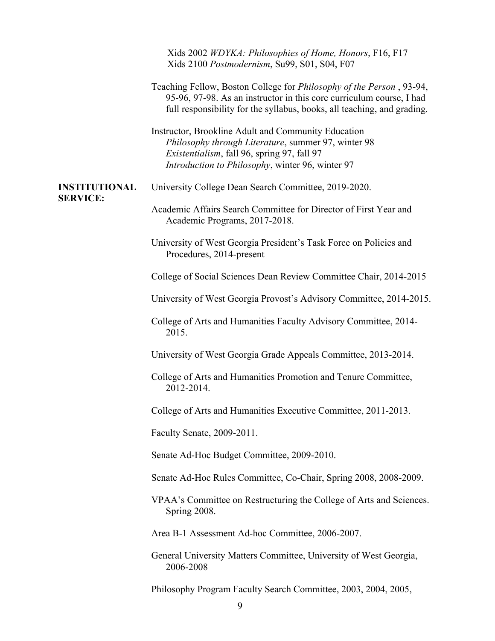|                                         | Xids 2002 WDYKA: Philosophies of Home, Honors, F16, F17<br>Xids 2100 Postmodernism, Su99, S01, S04, F07                                                                                                                         |
|-----------------------------------------|---------------------------------------------------------------------------------------------------------------------------------------------------------------------------------------------------------------------------------|
|                                         | Teaching Fellow, Boston College for <i>Philosophy of the Person</i> , 93-94,<br>95-96, 97-98. As an instructor in this core curriculum course, I had<br>full responsibility for the syllabus, books, all teaching, and grading. |
|                                         | Instructor, Brookline Adult and Community Education<br>Philosophy through Literature, summer 97, winter 98<br>Existentialism, fall 96, spring 97, fall 97<br>Introduction to Philosophy, winter 96, winter 97                   |
| <b>INSTITUTIONAL</b><br><b>SERVICE:</b> | University College Dean Search Committee, 2019-2020.                                                                                                                                                                            |
|                                         | Academic Affairs Search Committee for Director of First Year and<br>Academic Programs, 2017-2018.                                                                                                                               |
|                                         | University of West Georgia President's Task Force on Policies and<br>Procedures, 2014-present                                                                                                                                   |
|                                         | College of Social Sciences Dean Review Committee Chair, 2014-2015                                                                                                                                                               |
|                                         | University of West Georgia Provost's Advisory Committee, 2014-2015.                                                                                                                                                             |
|                                         | College of Arts and Humanities Faculty Advisory Committee, 2014-<br>2015.                                                                                                                                                       |
|                                         | University of West Georgia Grade Appeals Committee, 2013-2014.                                                                                                                                                                  |
|                                         | College of Arts and Humanities Promotion and Tenure Committee,<br>2012-2014.                                                                                                                                                    |
|                                         | College of Arts and Humanities Executive Committee, 2011-2013.                                                                                                                                                                  |
|                                         | Faculty Senate, 2009-2011.                                                                                                                                                                                                      |
|                                         | Senate Ad-Hoc Budget Committee, 2009-2010.                                                                                                                                                                                      |
|                                         | Senate Ad-Hoc Rules Committee, Co-Chair, Spring 2008, 2008-2009.                                                                                                                                                                |
|                                         | VPAA's Committee on Restructuring the College of Arts and Sciences.<br>Spring 2008.                                                                                                                                             |
|                                         | Area B-1 Assessment Ad-hoc Committee, 2006-2007.                                                                                                                                                                                |
|                                         | General University Matters Committee, University of West Georgia,<br>2006-2008                                                                                                                                                  |
|                                         | Philosophy Program Faculty Search Committee, 2003, 2004, 2005,                                                                                                                                                                  |